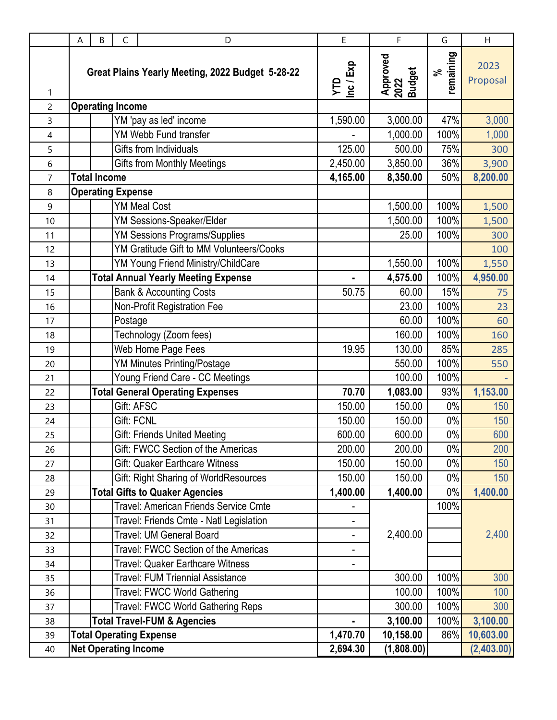|                | A | B                   | C                        | D                                                | E                | F                          | G               | H                |
|----------------|---|---------------------|--------------------------|--------------------------------------------------|------------------|----------------------------|-----------------|------------------|
| 1              |   |                     |                          | Great Plains Yearly Meeting, 2022 Budget 5-28-22 | YTD<br>Inc / Exp | Approved<br>2022<br>Budget | remaining<br>వ్ | 2023<br>Proposal |
| $\overline{c}$ |   |                     | <b>Operating Income</b>  |                                                  |                  |                            |                 |                  |
| 3              |   |                     |                          | YM 'pay as led' income                           | 1,590.00         | 3,000.00                   | 47%             | 3,000            |
| 4              |   |                     |                          | YM Webb Fund transfer                            |                  | 1,000.00                   | 100%            | 1,000            |
| 5              |   |                     |                          | Gifts from Individuals                           | 125.00           | 500.00                     | 75%             | 300              |
| 6              |   |                     |                          | <b>Gifts from Monthly Meetings</b>               | 2,450.00         | 3,850.00                   | 36%             | 3,900            |
| $\overline{7}$ |   | <b>Total Income</b> |                          |                                                  | 4,165.00         | 8,350.00                   | 50%             | 8,200.00         |
| $\,8\,$        |   |                     | <b>Operating Expense</b> |                                                  |                  |                            |                 |                  |
| 9              |   |                     |                          | <b>YM Meal Cost</b>                              |                  | 1,500.00                   | 100%            | 1,500            |
| 10             |   |                     |                          | YM Sessions-Speaker/Elder                        |                  | 1,500.00                   | 100%            | 1,500            |
| 11             |   |                     |                          | <b>YM Sessions Programs/Supplies</b>             |                  | 25.00                      | 100%            | 300              |
| 12             |   |                     |                          | YM Gratitude Gift to MM Volunteers/Cooks         |                  |                            |                 | 100              |
| 13             |   |                     |                          | YM Young Friend Ministry/ChildCare               |                  | 1,550.00                   | 100%            | 1,550            |
| 14             |   |                     |                          | <b>Total Annual Yearly Meeting Expense</b>       | ä,               | 4,575.00                   | 100%            | 4,950.00         |
| 15             |   |                     |                          | <b>Bank &amp; Accounting Costs</b>               | 50.75            | 60.00                      | 15%             | 75               |
| 16             |   |                     |                          | Non-Profit Registration Fee                      |                  | 23.00                      | 100%            | 23               |
| 17             |   |                     | Postage                  |                                                  |                  | 60.00                      | 100%            | 60               |
| 18             |   |                     |                          | Technology (Zoom fees)                           |                  | 160.00                     | 100%            | 160              |
| 19             |   |                     |                          | Web Home Page Fees                               | 19.95            | 130.00                     | 85%             | 285              |
| 20             |   |                     |                          | <b>YM Minutes Printing/Postage</b>               |                  | 550.00                     | 100%            | 550              |
| 21             |   |                     |                          | Young Friend Care - CC Meetings                  |                  | 100.00                     | 100%            |                  |
| 22             |   |                     |                          | <b>Total General Operating Expenses</b>          | 70.70            | 1,083.00                   | 93%             | 1,153.00         |
| 23             |   |                     | Gift: AFSC               |                                                  | 150.00           | 150.00                     | $0\%$           | 150              |
| 24             |   |                     | <b>Gift: FCNL</b>        |                                                  | 150.00           | 150.00                     | 0%              | 150              |
| 25             |   |                     |                          | <b>Gift: Friends United Meeting</b>              | 600.00           | 600.00                     | 0%              | 600              |
| 26             |   |                     |                          | Gift: FWCC Section of the Americas               | 200.00           | 200.00                     | $0\%$           | 200              |
| 27             |   |                     |                          | Gift: Quaker Earthcare Witness                   | 150.00           | 150.00                     | $0\%$           | 150              |
| 28             |   |                     |                          | Gift: Right Sharing of WorldResources            | 150.00           | 150.00                     | 0%              | 150              |
| 29             |   |                     |                          | <b>Total Gifts to Quaker Agencies</b>            | 1,400.00         | 1,400.00                   | 0%              | 1,400.00         |
| 30             |   |                     |                          | Travel: American Friends Service Cmte            |                  |                            | 100%            |                  |
| 31             |   |                     |                          | Travel: Friends Cmte - Natl Legislation          |                  |                            |                 |                  |
| 32             |   |                     |                          | Travel: UM General Board                         | -                | 2,400.00                   |                 | 2,400            |
| 33             |   |                     |                          | Travel: FWCC Section of the Americas             | -                |                            |                 |                  |
| 34             |   |                     |                          | Travel: Quaker Earthcare Witness                 |                  |                            |                 |                  |
| 35             |   |                     |                          | Travel: FUM Triennial Assistance                 |                  | 300.00                     | 100%            | 300              |
| 36             |   |                     |                          | Travel: FWCC World Gathering                     |                  | 100.00                     | 100%            | 100              |
| 37             |   |                     |                          | Travel: FWCC World Gathering Reps                |                  | 300.00                     | 100%            | 300              |
| 38             |   |                     |                          | <b>Total Travel-FUM &amp; Agencies</b>           |                  | 3,100.00                   | 100%            | 3,100.00         |
| 39             |   |                     |                          | <b>Total Operating Expense</b>                   | 1,470.70         | 10,158.00                  | 86%             | 10,603.00        |
| 40             |   |                     |                          | <b>Net Operating Income</b>                      | 2,694.30         | (1,808.00)                 |                 | (2,403.00)       |